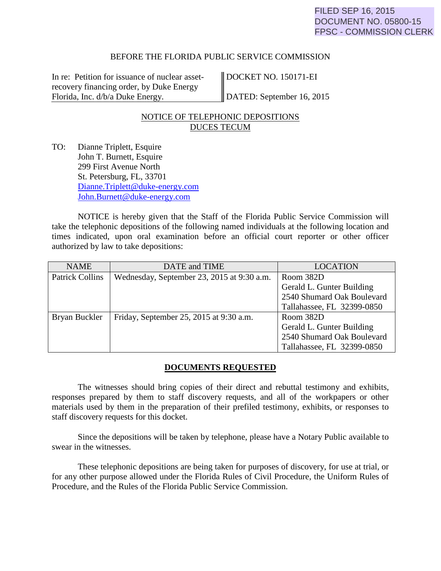### BEFORE THE FLORIDA PUBLIC SERVICE COMMISSION

In re: Petition for issuance of nuclear assetrecovery financing order, by Duke Energy Florida, Inc. d/b/a Duke Energy.

DOCKET NO. 150171-EI

DATED: September 16, 2015

## NOTICE OF TELEPHONIC DEPOSITIONS DUCES TECUM

TO: Dianne Triplett, Esquire John T. Burnett, Esquire 299 First Avenue North St. Petersburg, FL, 33701 [Dianne.Triplett@duke-energy.com](mailto:Dianne.Triplett@duke-energy.com) [John.Burnett@duke-energy.com](mailto:John.Burnett@duke-energy.com)

NOTICE is hereby given that the Staff of the Florida Public Service Commission will take the telephonic depositions of the following named individuals at the following location and times indicated, upon oral examination before an official court reporter or other officer authorized by law to take depositions:

| <b>NAME</b>            | DATE and TIME                              | <b>LOCATION</b>            |  |
|------------------------|--------------------------------------------|----------------------------|--|
| <b>Patrick Collins</b> | Wednesday, September 23, 2015 at 9:30 a.m. | Room 382D                  |  |
|                        |                                            | Gerald L. Gunter Building  |  |
|                        |                                            | 2540 Shumard Oak Boulevard |  |
|                        |                                            | Tallahassee, FL 32399-0850 |  |
| Bryan Buckler          | Friday, September 25, 2015 at 9:30 a.m.    | Room 382D                  |  |
|                        |                                            | Gerald L. Gunter Building  |  |
|                        |                                            | 2540 Shumard Oak Boulevard |  |
|                        |                                            | Tallahassee, FL 32399-0850 |  |

### **DOCUMENTS REQUESTED**

The witnesses should bring copies of their direct and rebuttal testimony and exhibits, responses prepared by them to staff discovery requests, and all of the workpapers or other materials used by them in the preparation of their prefiled testimony, exhibits, or responses to staff discovery requests for this docket.

Since the depositions will be taken by telephone, please have a Notary Public available to swear in the witnesses.

These telephonic depositions are being taken for purposes of discovery, for use at trial, or for any other purpose allowed under the Florida Rules of Civil Procedure, the Uniform Rules of Procedure, and the Rules of the Florida Public Service Commission.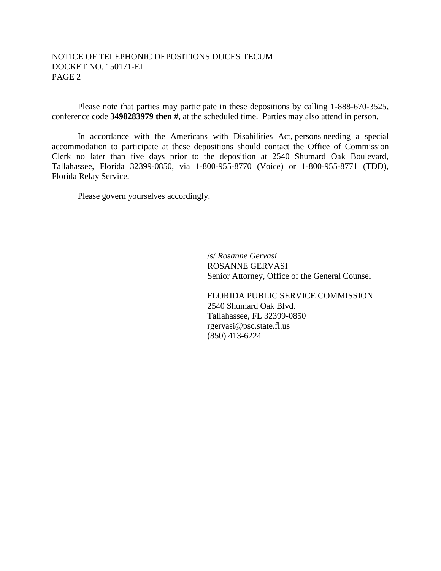### NOTICE OF TELEPHONIC DEPOSITIONS DUCES TECUM DOCKET NO. 150171-EI PAGE 2

Please note that parties may participate in these depositions by calling 1-888-670-3525, conference code **3498283979 then #**, at the scheduled time. Parties may also attend in person.

In accordance with the Americans with Disabilities Act, persons needing a special accommodation to participate at these depositions should contact the Office of Commission Clerk no later than five days prior to the deposition at 2540 Shumard Oak Boulevard, Tallahassee, Florida 32399-0850, via 1-800-955-8770 (Voice) or 1-800-955-8771 (TDD), Florida Relay Service.

Please govern yourselves accordingly.

/s/ *Rosanne Gervasi*

ROSANNE GERVASI Senior Attorney, Office of the General Counsel

FLORIDA PUBLIC SERVICE COMMISSION 2540 Shumard Oak Blvd. Tallahassee, FL 32399-0850 rgervasi@psc.state.fl.us (850) 413-6224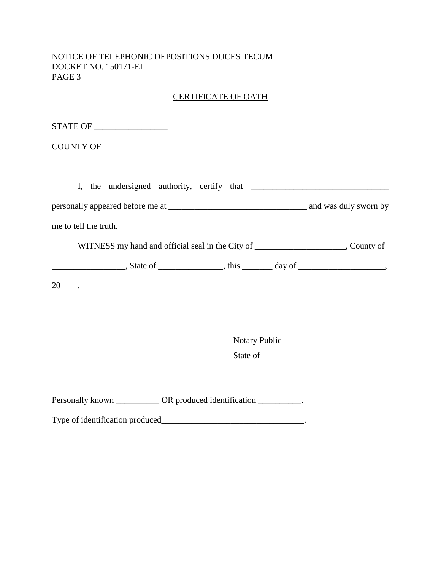NOTICE OF TELEPHONIC DEPOSITIONS DUCES TECUM DOCKET NO. 150171-EI PAGE 3

# CERTIFICATE OF OATH

| me to tell the truth.                                                                                                                                                                                                                                                                                                                                                                                                           |                      |  |
|---------------------------------------------------------------------------------------------------------------------------------------------------------------------------------------------------------------------------------------------------------------------------------------------------------------------------------------------------------------------------------------------------------------------------------|----------------------|--|
| WITNESS my hand and official seal in the City of ________________________, County of                                                                                                                                                                                                                                                                                                                                            |                      |  |
| $\frac{1}{\sqrt{1-\frac{1}{2}}}\frac{1}{\sqrt{1-\frac{1}{2}}}\frac{1}{\sqrt{1-\frac{1}{2}}}\frac{1}{\sqrt{1-\frac{1}{2}}}\frac{1}{\sqrt{1-\frac{1}{2}}}\frac{1}{\sqrt{1-\frac{1}{2}}}\frac{1}{\sqrt{1-\frac{1}{2}}}\frac{1}{\sqrt{1-\frac{1}{2}}}\frac{1}{\sqrt{1-\frac{1}{2}}}\frac{1}{\sqrt{1-\frac{1}{2}}}\frac{1}{\sqrt{1-\frac{1}{2}}}\frac{1}{\sqrt{1-\frac{1}{2}}}\frac{1}{\sqrt{1-\frac{1}{2}}}\frac{1}{\sqrt{1-\frac{$ |                      |  |
|                                                                                                                                                                                                                                                                                                                                                                                                                                 |                      |  |
|                                                                                                                                                                                                                                                                                                                                                                                                                                 |                      |  |
|                                                                                                                                                                                                                                                                                                                                                                                                                                 |                      |  |
|                                                                                                                                                                                                                                                                                                                                                                                                                                 | <b>Notary Public</b> |  |
|                                                                                                                                                                                                                                                                                                                                                                                                                                 |                      |  |
|                                                                                                                                                                                                                                                                                                                                                                                                                                 |                      |  |
| Personally known ___________ OR produced identification _________.                                                                                                                                                                                                                                                                                                                                                              |                      |  |
|                                                                                                                                                                                                                                                                                                                                                                                                                                 |                      |  |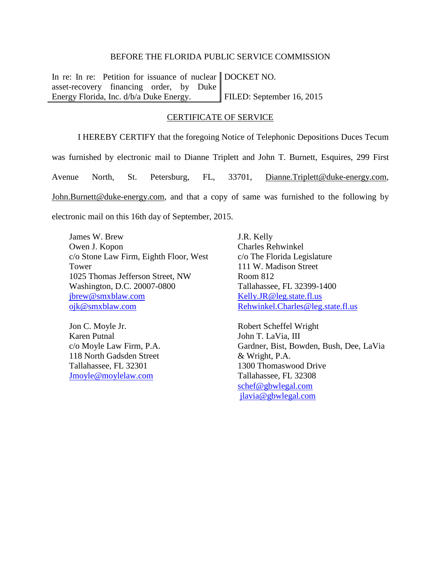#### BEFORE THE FLORIDA PUBLIC SERVICE COMMISSION

In re: In re: Petition for issuance of nuclear DOCKET NO. asset-recovery financing order, by Duke Energy Florida, Inc. d/b/a Duke Energy. FILED: September 16, 2015

#### CERTIFICATE OF SERVICE

I HEREBY CERTIFY that the foregoing Notice of Telephonic Depositions Duces Tecum was furnished by electronic mail to Dianne Triplett and John T. Burnett, Esquires, 299 First Avenue North, St. Petersburg, FL, 33701, [Dianne.Triplett@duke-energy.com,](mailto:Dianne.Triplett@duke-energy.com) John.Burnett@duke-energy.com, and that a copy of same was furnished to the following by

electronic mail on this 16th day of September, 2015.

James W. Brew Owen J. Kopon c/o Stone Law Firm, Eighth Floor, West Tower 1025 Thomas Jefferson Street, NW Washington, D.C. 20007-0800 [jbrew@smxblaw.com](mailto:jbrew@smxblaw.com) [ojk@smxblaw.com](mailto:ojk@smxblaw.com)

Jon C. Moyle Jr. Karen Putnal c/o Moyle Law Firm, P.A. 118 North Gadsden Street Tallahassee, FL 32301 [Jmoyle@moylelaw.com](mailto:Jmoyle@moylelaw.com)

J.R. Kelly Charles Rehwinkel c/o The Florida Legislature 111 W. Madison Street Room 812 Tallahassee, FL 32399-1400 [Kelly.JR@leg.state.fl.us](mailto:Kelly.JR@leg.state.fl.us) [Rehwinkel.Charles@leg.state.fl.us](mailto:Rehwinkel.Charles@leg.state.fl.us)

Robert Scheffel Wright John T. LaVia, III Gardner, Bist, Bowden, Bush, Dee, LaVia & Wright, P.A. 1300 Thomaswood Drive Tallahassee, FL 32308 [schef@gbwlegal.com](mailto:schef@gbwlegal.com) [jlavia@gbwlegal.com](mailto:jlavia@gbwlegal.com)